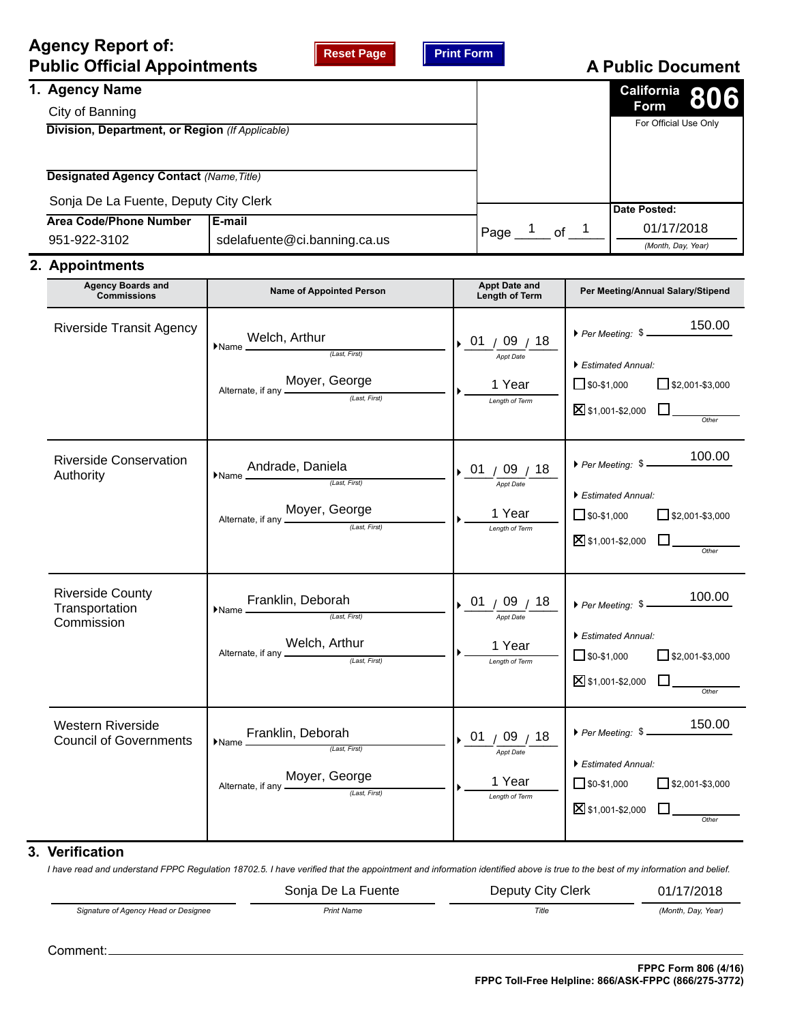## **Agency Report of: Public Official Appointments**

| Reset Page |  |
|------------|--|
|------------|--|



# **A Public Document**

|                                                 |                                                                       |      |    | $\frac{\text{California}}{\text{Form}}$ 806 |
|-------------------------------------------------|-----------------------------------------------------------------------|------|----|---------------------------------------------|
|                                                 |                                                                       |      |    | <b>Form</b>                                 |
| Division, Department, or Region (If Applicable) |                                                                       |      |    | For Official Use Only                       |
|                                                 |                                                                       |      |    |                                             |
|                                                 |                                                                       |      |    |                                             |
|                                                 |                                                                       |      |    |                                             |
|                                                 |                                                                       |      |    |                                             |
|                                                 |                                                                       |      |    | Date Posted:                                |
|                                                 |                                                                       |      |    | 01/17/2018                                  |
|                                                 |                                                                       |      |    | (Month, Day, Year)                          |
|                                                 | Sonja De La Fuente, Deputy City Clerk<br>sdelafuente@ci.banning.ca.us | Page | of |                                             |

### **2. Appointments**

| <b>Agency Boards and</b><br><b>Commissions</b>            | <b>Name of Appointed Person</b>                                                                                                                                                                                                                                                                                                                                                                                                                                                                                                                                                                                           | <b>Appt Date and</b><br>Length of Term                | Per Meeting/Annual Salary/Stipend                                                                                                                              |
|-----------------------------------------------------------|---------------------------------------------------------------------------------------------------------------------------------------------------------------------------------------------------------------------------------------------------------------------------------------------------------------------------------------------------------------------------------------------------------------------------------------------------------------------------------------------------------------------------------------------------------------------------------------------------------------------------|-------------------------------------------------------|----------------------------------------------------------------------------------------------------------------------------------------------------------------|
| <b>Riverside Transit Agency</b>                           | Welch, Arthur $\frac{\text{(Last, First)}}{\text{(Last, First)}}$<br>$\blacktriangleright$ Name $\perp$<br>Alternate, if any <b>Moyer</b> , George                                                                                                                                                                                                                                                                                                                                                                                                                                                                        | 01 / 09 / 18<br>Appt Date<br>1 Year<br>Length of Term | ▶ Per Meeting: $\frac{150.00}{\frac{1}{200}}$<br>Estimated Annual:<br>$\Box$ \$0-\$1,000<br>$\Box$ \$2,001-\$3,000<br>$\S$ \$1,001-\$2,000 $\square$           |
| <b>Riverside Conservation</b><br>Authority                | Andrade, Daniela<br>$\blacktriangleright$ Name $\perp$<br>.<br>(Last, First)<br>Alternate, if any <b>Moyer</b> , <b>George</b>                                                                                                                                                                                                                                                                                                                                                                                                                                                                                            | 01 / 09 / 18<br>Appt Date<br>1 Year<br>Length of Term | 100.00<br>Per Meeting: \$<br>Estimated Annual:<br>$\Box$ \$2,001-\$3,000<br>$\Box$ \$0-\$1,000<br><b>X</b> \$1,001-\$2,000                                     |
| <b>Riverside County</b><br>Transportation<br>Commission   | $\blacktriangleright$ Name $\frac{\mathsf{Franklin}, \, \mathsf{Deborah}}{\text{\tiny (Last, First)}}$<br>Alternate, if any Welch, Arthur                                                                                                                                                                                                                                                                                                                                                                                                                                                                                 | 01/09/18<br>Appt Date<br>1 Year<br>Length of Term     | $\triangleright$ Per Meeting: $\frac{100.00}{\cdot}$<br>Estimated Annual:<br>$\Box$ \$0-\$1,000<br>$\Box$ \$2,001-\$3,000<br>$\Sigma$ \$1,001-\$2,000<br>Other |
| <b>Western Riverside</b><br><b>Council of Governments</b> | $\blacktriangleright$ Name $\frac{\mathsf{Franklin}, \mathsf{Dei}, \mathsf{First}, \mathsf{First} \mid \mathsf{First}, \mathsf{First} \mid \mathsf{Test}, \mathsf{First} \mid \mathsf{Test}, \mathsf{First} \mid \mathsf{Test}, \mathsf{First} \mid \mathsf{Test}, \mathsf{First} \mid \mathsf{Test}, \mathsf{First} \mid \mathsf{Test}, \mathsf{First} \mid \mathsf{Test}, \mathsf{First} \mid \mathsf{Test}, \mathsf{First} \mid \mathsf{Test}, \mathsf{Test} \mid \mathsf{Test}, \mathsf{Test} \mid \mathsf{Test}, \mathsf{Test} \mid \mathsf{Test}, \mathsf$<br>Alternate, if any <b>Moyer</b> , George (Last, First) | 01 / 09 / 18<br>Appt Date<br>1 Year<br>Length of Term | 150.00<br>Per Meeting: \$<br>Estimated Annual:<br>$\sqrt{\$0 - $1,000}$<br>$\Box$ \$2,001-\$3,000<br><b>X</b> \$1,001-\$2,000<br>Other                         |

## **3. Verification**

*I have read and understand FPPC Regulation 18702.5. I have verified that the appointment and information identified above is true to the best of my information and belief.*

*Signature of Agency Head or Designee Print Name Title (Month, Day, Year)* Sonja De La Fuente **Deputy City Clerk** 01/17/2018

Comment: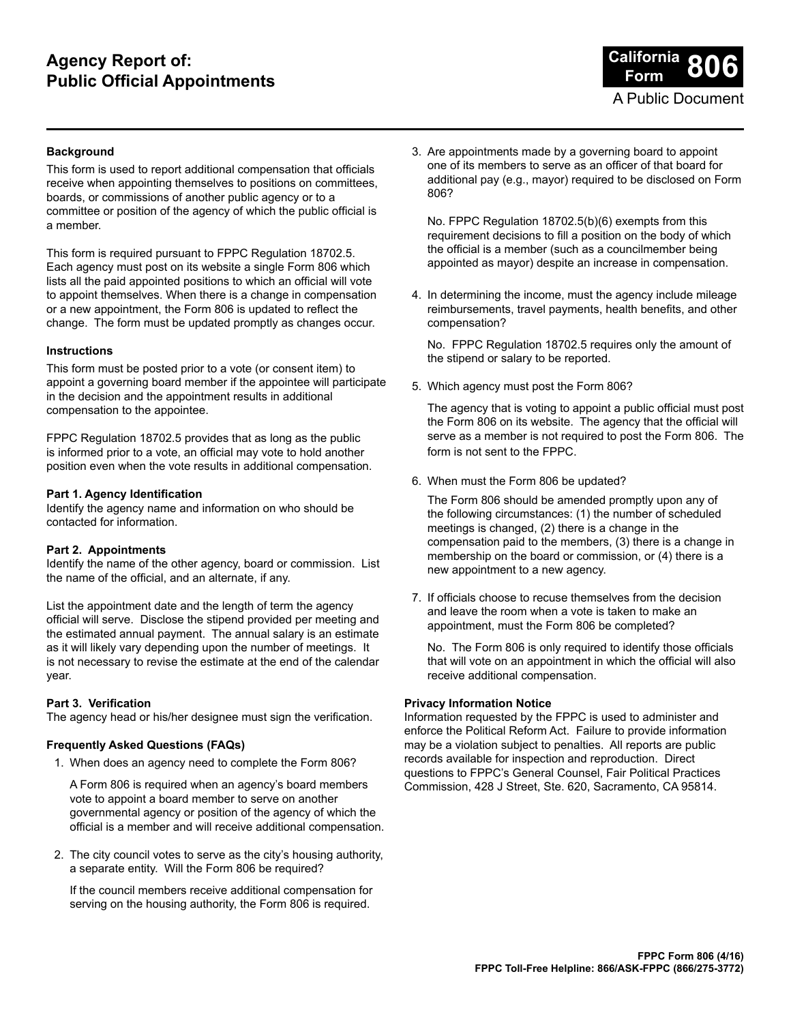## **Agency Report of: Public Official Appointments**



#### **Background**

This form is used to report additional compensation that officials receive when appointing themselves to positions on committees, boards, or commissions of another public agency or to a committee or position of the agency of which the public official is a member.

This form is required pursuant to FPPC Regulation 18702.5. Each agency must post on its website a single Form 806 which lists all the paid appointed positions to which an official will vote to appoint themselves. When there is a change in compensation or a new appointment, the Form 806 is updated to reflect the change. The form must be updated promptly as changes occur.

#### **Instructions**

This form must be posted prior to a vote (or consent item) to appoint a governing board member if the appointee will participate in the decision and the appointment results in additional compensation to the appointee.

FPPC Regulation 18702.5 provides that as long as the public is informed prior to a vote, an official may vote to hold another position even when the vote results in additional compensation.

#### **Part 1. Agency Identification**

Identify the agency name and information on who should be contacted for information.

#### **Part 2. Appointments**

Identify the name of the other agency, board or commission. List the name of the official, and an alternate, if any.

List the appointment date and the length of term the agency official will serve. Disclose the stipend provided per meeting and the estimated annual payment. The annual salary is an estimate as it will likely vary depending upon the number of meetings. It is not necessary to revise the estimate at the end of the calendar year.

#### **Part 3. Verification**

The agency head or his/her designee must sign the verification.

#### **Frequently Asked Questions (FAQs)**

1. When does an agency need to complete the Form 806?

A Form 806 is required when an agency's board members vote to appoint a board member to serve on another governmental agency or position of the agency of which the official is a member and will receive additional compensation.

2. The city council votes to serve as the city's housing authority, a separate entity. Will the Form 806 be required?

If the council members receive additional compensation for serving on the housing authority, the Form 806 is required.

3. Are appointments made by a governing board to appoint one of its members to serve as an officer of that board for additional pay (e.g., mayor) required to be disclosed on Form 806?

No. FPPC Regulation 18702.5(b)(6) exempts from this requirement decisions to fill a position on the body of which the official is a member (such as a councilmember being appointed as mayor) despite an increase in compensation.

4. In determining the income, must the agency include mileage reimbursements, travel payments, health benefits, and other compensation?

No. FPPC Regulation 18702.5 requires only the amount of the stipend or salary to be reported.

5. Which agency must post the Form 806?

The agency that is voting to appoint a public official must post the Form 806 on its website. The agency that the official will serve as a member is not required to post the Form 806. The form is not sent to the FPPC.

6. When must the Form 806 be updated?

The Form 806 should be amended promptly upon any of the following circumstances: (1) the number of scheduled meetings is changed, (2) there is a change in the compensation paid to the members, (3) there is a change in membership on the board or commission, or (4) there is a new appointment to a new agency.

7. If officials choose to recuse themselves from the decision and leave the room when a vote is taken to make an appointment, must the Form 806 be completed?

No. The Form 806 is only required to identify those officials that will vote on an appointment in which the official will also receive additional compensation.

#### **Privacy Information Notice**

Information requested by the FPPC is used to administer and enforce the Political Reform Act. Failure to provide information may be a violation subject to penalties. All reports are public records available for inspection and reproduction. Direct questions to FPPC's General Counsel, Fair Political Practices Commission, 428 J Street, Ste. 620, Sacramento, CA 95814.